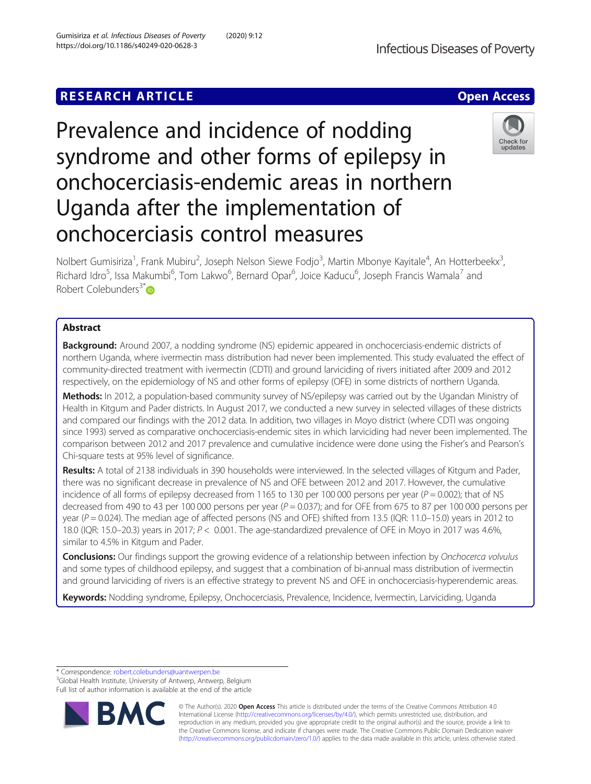## **RESEARCH ARTICLE Example 2018 12:00 Deep Access**



# Prevalence and incidence of nodding syndrome and other forms of epilepsy in onchocerciasis-endemic areas in northern Uganda after the implementation of onchocerciasis control measures



Nolbert Gumisiriza<sup>1</sup>, Frank Mubiru<sup>2</sup>, Joseph Nelson Siewe Fodjo<sup>3</sup>, Martin Mbonye Kayitale<sup>4</sup>, An Hotterbeekx<sup>3</sup> , Richard Idro<sup>5</sup>, Issa Makumbi<sup>6</sup>, Tom Lakwo<sup>6</sup>, Bernard Opar<sup>6</sup>, Joice Kaducu<sup>6</sup>, Joseph Francis Wamala<sup>7</sup> and Robert Colebunders $3^*$  $3^*$ 

## Abstract

Background: Around 2007, a nodding syndrome (NS) epidemic appeared in onchocerciasis-endemic districts of northern Uganda, where ivermectin mass distribution had never been implemented. This study evaluated the effect of community-directed treatment with ivermectin (CDTI) and ground larviciding of rivers initiated after 2009 and 2012 respectively, on the epidemiology of NS and other forms of epilepsy (OFE) in some districts of northern Uganda.

Methods: In 2012, a population-based community survey of NS/epilepsy was carried out by the Ugandan Ministry of Health in Kitgum and Pader districts. In August 2017, we conducted a new survey in selected villages of these districts and compared our findings with the 2012 data. In addition, two villages in Moyo district (where CDTI was ongoing since 1993) served as comparative onchocerciasis-endemic sites in which larviciding had never been implemented. The comparison between 2012 and 2017 prevalence and cumulative incidence were done using the Fisher's and Pearson's Chi-square tests at 95% level of significance.

Results: A total of 2138 individuals in 390 households were interviewed. In the selected villages of Kitgum and Pader, there was no significant decrease in prevalence of NS and OFE between 2012 and 2017. However, the cumulative incidence of all forms of epilepsy decreased from 1165 to 130 per 100 000 persons per year ( $P = 0.002$ ); that of NS decreased from 490 to 43 per 100 000 persons per year ( $P = 0.037$ ); and for OFE from 675 to 87 per 100 000 persons per year ( $P = 0.024$ ). The median age of affected persons (NS and OFE) shifted from 13.5 (IQR: 11.0–15.0) years in 2012 to 18.0 (IQR: 15.0–20.3) years in 2017;  $P < 0.001$ . The age-standardized prevalence of OFE in Moyo in 2017 was 4.6%, similar to 4.5% in Kitgum and Pader.

**Conclusions:** Our findings support the growing evidence of a relationship between infection by Onchocerca volvulus and some types of childhood epilepsy, and suggest that a combination of bi-annual mass distribution of ivermectin and ground larviciding of rivers is an effective strategy to prevent NS and OFE in onchocerciasis-hyperendemic areas.

Keywords: Nodding syndrome, Epilepsy, Onchocerciasis, Prevalence, Incidence, Ivermectin, Larviciding, Uganda

\* Correspondence: [robert.colebunders@uantwerpen.be](mailto:robert.colebunders@uantwerpen.be) <sup>3</sup>

<sup>3</sup>Global Health Institute, University of Antwerp, Antwerp, Belgium Full list of author information is available at the end of the article



© The Author(s). 2020 **Open Access** This article is distributed under the terms of the Creative Commons Attribution 4.0 International License [\(http://creativecommons.org/licenses/by/4.0/](http://creativecommons.org/licenses/by/4.0/)), which permits unrestricted use, distribution, and reproduction in any medium, provided you give appropriate credit to the original author(s) and the source, provide a link to the Creative Commons license, and indicate if changes were made. The Creative Commons Public Domain Dedication waiver [\(http://creativecommons.org/publicdomain/zero/1.0/](http://creativecommons.org/publicdomain/zero/1.0/)) applies to the data made available in this article, unless otherwise stated.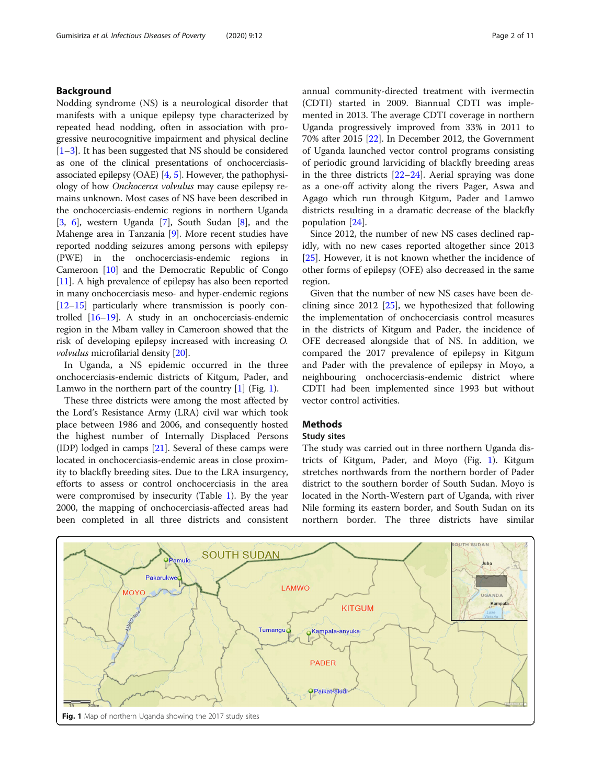## Background

Nodding syndrome (NS) is a neurological disorder that manifests with a unique epilepsy type characterized by repeated head nodding, often in association with progressive neurocognitive impairment and physical decline [[1](#page-10-0)–[3\]](#page-10-0). It has been suggested that NS should be considered as one of the clinical presentations of onchocerciasisassociated epilepsy (OAE) [[4](#page-10-0), [5\]](#page-10-0). However, the pathophysiology of how Onchocerca volvulus may cause epilepsy remains unknown. Most cases of NS have been described in the onchocerciasis-endemic regions in northern Uganda [[3,](#page-10-0) [6](#page-10-0)], western Uganda [[7\]](#page-10-0), South Sudan [\[8\]](#page-10-0), and the Mahenge area in Tanzania [[9\]](#page-10-0). More recent studies have reported nodding seizures among persons with epilepsy (PWE) in the onchocerciasis-endemic regions in Cameroon [[10](#page-10-0)] and the Democratic Republic of Congo [[11](#page-10-0)]. A high prevalence of epilepsy has also been reported in many onchocerciasis meso- and hyper-endemic regions [[12](#page-10-0)–[15\]](#page-10-0) particularly where transmission is poorly controlled [\[16](#page-10-0)–[19](#page-10-0)]. A study in an onchocerciasis-endemic region in the Mbam valley in Cameroon showed that the risk of developing epilepsy increased with increasing O. volvulus microfilarial density [[20](#page-10-0)].

In Uganda, a NS epidemic occurred in the three onchocerciasis-endemic districts of Kitgum, Pader, and Lamwo in the northern part of the country  $[1]$  $[1]$  (Fig. 1).

These three districts were among the most affected by the Lord's Resistance Army (LRA) civil war which took place between 1986 and 2006, and consequently hosted the highest number of Internally Displaced Persons (IDP) lodged in camps [\[21\]](#page-10-0). Several of these camps were located in onchocerciasis-endemic areas in close proximity to blackfly breeding sites. Due to the LRA insurgency, efforts to assess or control onchocerciasis in the area were compromised by insecurity (Table [1\)](#page-2-0). By the year 2000, the mapping of onchocerciasis-affected areas had been completed in all three districts and consistent annual community-directed treatment with ivermectin (CDTI) started in 2009. Biannual CDTI was implemented in 2013. The average CDTI coverage in northern Uganda progressively improved from 33% in 2011 to 70% after 2015 [[22\]](#page-10-0). In December 2012, the Government of Uganda launched vector control programs consisting of periodic ground larviciding of blackfly breeding areas in the three districts [[22](#page-10-0)–[24](#page-10-0)]. Aerial spraying was done as a one-off activity along the rivers Pager, Aswa and Agago which run through Kitgum, Pader and Lamwo districts resulting in a dramatic decrease of the blackfly population [[24\]](#page-10-0).

Since 2012, the number of new NS cases declined rapidly, with no new cases reported altogether since 2013 [[25\]](#page-10-0). However, it is not known whether the incidence of other forms of epilepsy (OFE) also decreased in the same region.

Given that the number of new NS cases have been declining since 2012 [\[25](#page-10-0)], we hypothesized that following the implementation of onchocerciasis control measures in the districts of Kitgum and Pader, the incidence of OFE decreased alongside that of NS. In addition, we compared the 2017 prevalence of epilepsy in Kitgum and Pader with the prevalence of epilepsy in Moyo, a neighbouring onchocerciasis-endemic district where CDTI had been implemented since 1993 but without vector control activities.

## **Methods**

#### Study sites

The study was carried out in three northern Uganda districts of Kitgum, Pader, and Moyo (Fig. 1). Kitgum stretches northwards from the northern border of Pader district to the southern border of South Sudan. Moyo is located in the North-Western part of Uganda, with river Nile forming its eastern border, and South Sudan on its northern border. The three districts have similar

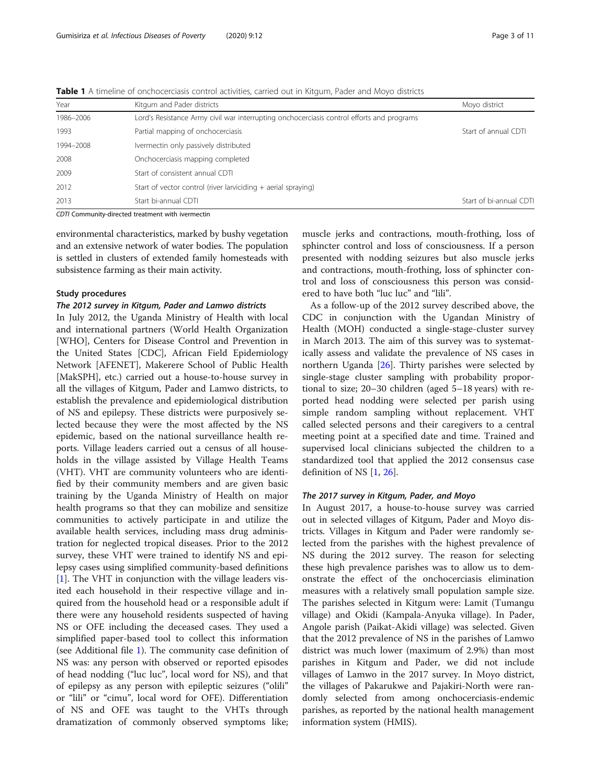| Year      | Kitgum and Pader districts                                                                | Moyo district           |
|-----------|-------------------------------------------------------------------------------------------|-------------------------|
| 1986-2006 | Lord's Resistance Army civil war interrupting onchocerciasis control efforts and programs |                         |
| 1993      | Partial mapping of onchocerciasis                                                         | Start of annual CDTI    |
| 1994-2008 | Ivermectin only passively distributed                                                     |                         |
| 2008      | Onchocerciasis mapping completed                                                          |                         |
| 2009      | Start of consistent annual CDTI                                                           |                         |
| 2012      | Start of vector control (river larviciding $+$ aerial spraying)                           |                         |
| 2013      | Start bi-annual CDTI                                                                      | Start of bi-annual CDTI |

<span id="page-2-0"></span>Table 1 A timeline of onchocerciasis control activities, carried out in Kitgum, Pader and Moyo districts

CDTI Community-directed treatment with ivermectin

environmental characteristics, marked by bushy vegetation and an extensive network of water bodies. The population is settled in clusters of extended family homesteads with subsistence farming as their main activity.

## Study procedures

## The 2012 survey in Kitgum, Pader and Lamwo districts

In July 2012, the Uganda Ministry of Health with local and international partners (World Health Organization [WHO], Centers for Disease Control and Prevention in the United States [CDC], African Field Epidemiology Network [AFENET], Makerere School of Public Health [MakSPH], etc.) carried out a house-to-house survey in all the villages of Kitgum, Pader and Lamwo districts, to establish the prevalence and epidemiological distribution of NS and epilepsy. These districts were purposively selected because they were the most affected by the NS epidemic, based on the national surveillance health reports. Village leaders carried out a census of all households in the village assisted by Village Health Teams (VHT). VHT are community volunteers who are identified by their community members and are given basic training by the Uganda Ministry of Health on major health programs so that they can mobilize and sensitize communities to actively participate in and utilize the available health services, including mass drug administration for neglected tropical diseases. Prior to the 2012 survey, these VHT were trained to identify NS and epilepsy cases using simplified community-based definitions [[1\]](#page-10-0). The VHT in conjunction with the village leaders visited each household in their respective village and inquired from the household head or a responsible adult if there were any household residents suspected of having NS or OFE including the deceased cases. They used a simplified paper-based tool to collect this information (see Additional file [1](#page-9-0)). The community case definition of NS was: any person with observed or reported episodes of head nodding ("luc luc", local word for NS), and that of epilepsy as any person with epileptic seizures ("olili" or "lili" or "cimu", local word for OFE). Differentiation of NS and OFE was taught to the VHTs through dramatization of commonly observed symptoms like;

muscle jerks and contractions, mouth-frothing, loss of sphincter control and loss of consciousness. If a person presented with nodding seizures but also muscle jerks and contractions, mouth-frothing, loss of sphincter control and loss of consciousness this person was considered to have both "luc luc" and "lili".

As a follow-up of the 2012 survey described above, the CDC in conjunction with the Ugandan Ministry of Health (MOH) conducted a single-stage-cluster survey in March 2013. The aim of this survey was to systematically assess and validate the prevalence of NS cases in northern Uganda  $[26]$  $[26]$ . Thirty parishes were selected by single-stage cluster sampling with probability proportional to size; 20–30 children (aged 5–18 years) with reported head nodding were selected per parish using simple random sampling without replacement. VHT called selected persons and their caregivers to a central meeting point at a specified date and time. Trained and supervised local clinicians subjected the children to a standardized tool that applied the 2012 consensus case definition of NS [\[1](#page-10-0), [26](#page-10-0)].

## The 2017 survey in Kitgum, Pader, and Moyo

In August 2017, a house-to-house survey was carried out in selected villages of Kitgum, Pader and Moyo districts. Villages in Kitgum and Pader were randomly selected from the parishes with the highest prevalence of NS during the 2012 survey. The reason for selecting these high prevalence parishes was to allow us to demonstrate the effect of the onchocerciasis elimination measures with a relatively small population sample size. The parishes selected in Kitgum were: Lamit (Tumangu village) and Okidi (Kampala-Anyuka village). In Pader, Angole parish (Paikat-Akidi village) was selected. Given that the 2012 prevalence of NS in the parishes of Lamwo district was much lower (maximum of 2.9%) than most parishes in Kitgum and Pader, we did not include villages of Lamwo in the 2017 survey. In Moyo district, the villages of Pakarukwe and Pajakiri-North were randomly selected from among onchocerciasis-endemic parishes, as reported by the national health management information system (HMIS).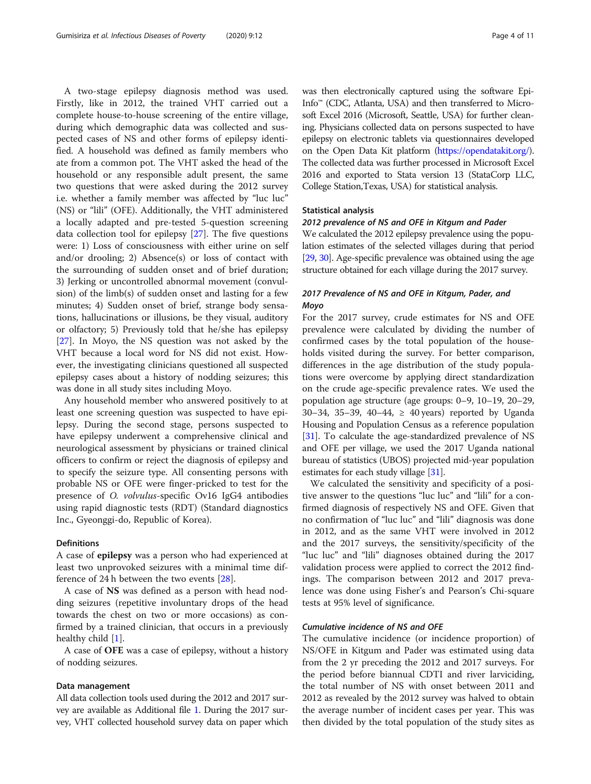A two-stage epilepsy diagnosis method was used. Firstly, like in 2012, the trained VHT carried out a complete house-to-house screening of the entire village, during which demographic data was collected and suspected cases of NS and other forms of epilepsy identified. A household was defined as family members who ate from a common pot. The VHT asked the head of the household or any responsible adult present, the same two questions that were asked during the 2012 survey i.e. whether a family member was affected by "luc luc" (NS) or "lili" (OFE). Additionally, the VHT administered a locally adapted and pre-tested 5-question screening data collection tool for epilepsy [\[27\]](#page-10-0). The five questions were: 1) Loss of consciousness with either urine on self and/or drooling; 2) Absence(s) or loss of contact with the surrounding of sudden onset and of brief duration; 3) Jerking or uncontrolled abnormal movement (convulsion) of the limb(s) of sudden onset and lasting for a few minutes; 4) Sudden onset of brief, strange body sensations, hallucinations or illusions, be they visual, auditory or olfactory; 5) Previously told that he/she has epilepsy [[27\]](#page-10-0). In Moyo, the NS question was not asked by the VHT because a local word for NS did not exist. However, the investigating clinicians questioned all suspected epilepsy cases about a history of nodding seizures; this was done in all study sites including Moyo.

Any household member who answered positively to at least one screening question was suspected to have epilepsy. During the second stage, persons suspected to have epilepsy underwent a comprehensive clinical and neurological assessment by physicians or trained clinical officers to confirm or reject the diagnosis of epilepsy and to specify the seizure type. All consenting persons with probable NS or OFE were finger-pricked to test for the presence of O. volvulus-specific Ov16 IgG4 antibodies using rapid diagnostic tests (RDT) (Standard diagnostics Inc., Gyeonggi-do, Republic of Korea).

#### Definitions

A case of epilepsy was a person who had experienced at least two unprovoked seizures with a minimal time difference of 24 h between the two events [\[28](#page-10-0)].

A case of NS was defined as a person with head nodding seizures (repetitive involuntary drops of the head towards the chest on two or more occasions) as confirmed by a trained clinician, that occurs in a previously healthy child  $|1|$ .

A case of OFE was a case of epilepsy, without a history of nodding seizures.

#### Data management

All data collection tools used during the 2012 and 2017 survey are available as Additional file [1](#page-9-0). During the 2017 survey, VHT collected household survey data on paper which was then electronically captured using the software Epi-Info™ (CDC, Atlanta, USA) and then transferred to Microsoft Excel 2016 (Microsoft, Seattle, USA) for further cleaning. Physicians collected data on persons suspected to have epilepsy on electronic tablets via questionnaires developed on the Open Data Kit platform [\(https://opendatakit.org/](https://opendatakit.org/)). The collected data was further processed in Microsoft Excel 2016 and exported to Stata version 13 (StataCorp LLC, College Station,Texas, USA) for statistical analysis.

#### Statistical analysis

## 2012 prevalence of NS and OFE in Kitgum and Pader

We calculated the 2012 epilepsy prevalence using the population estimates of the selected villages during that period [[29](#page-10-0), [30](#page-10-0)]. Age-specific prevalence was obtained using the age structure obtained for each village during the 2017 survey.

## 2017 Prevalence of NS and OFE in Kitgum, Pader, and Moyo

For the 2017 survey, crude estimates for NS and OFE prevalence were calculated by dividing the number of confirmed cases by the total population of the households visited during the survey. For better comparison, differences in the age distribution of the study populations were overcome by applying direct standardization on the crude age-specific prevalence rates. We used the population age structure (age groups: 0–9, 10–19, 20–29, 30–34, 35–39, 40–44, ≥ 40 years) reported by Uganda Housing and Population Census as a reference population [[31](#page-10-0)]. To calculate the age-standardized prevalence of NS and OFE per village, we used the 2017 Uganda national bureau of statistics (UBOS) projected mid-year population estimates for each study village [\[31\]](#page-10-0).

We calculated the sensitivity and specificity of a positive answer to the questions "luc luc" and "lili" for a confirmed diagnosis of respectively NS and OFE. Given that no confirmation of "luc luc" and "lili" diagnosis was done in 2012, and as the same VHT were involved in 2012 and the 2017 surveys, the sensitivity/specificity of the "luc luc" and "lili" diagnoses obtained during the 2017 validation process were applied to correct the 2012 findings. The comparison between 2012 and 2017 prevalence was done using Fisher's and Pearson's Chi-square tests at 95% level of significance.

## Cumulative incidence of NS and OFE

The cumulative incidence (or incidence proportion) of NS/OFE in Kitgum and Pader was estimated using data from the 2 yr preceding the 2012 and 2017 surveys. For the period before biannual CDTI and river larviciding, the total number of NS with onset between 2011 and 2012 as revealed by the 2012 survey was halved to obtain the average number of incident cases per year. This was then divided by the total population of the study sites as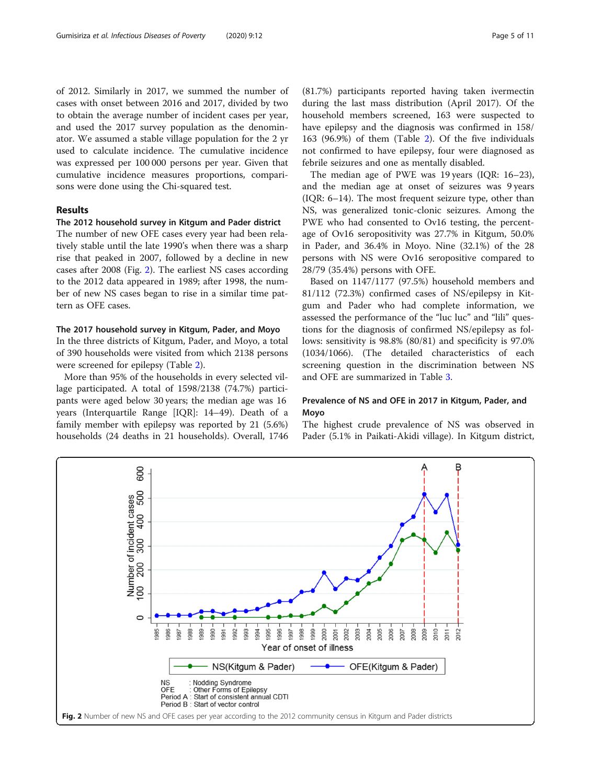<span id="page-4-0"></span>of 2012. Similarly in 2017, we summed the number of cases with onset between 2016 and 2017, divided by two to obtain the average number of incident cases per year, and used the 2017 survey population as the denominator. We assumed a stable village population for the 2 yr used to calculate incidence. The cumulative incidence was expressed per 100 000 persons per year. Given that cumulative incidence measures proportions, comparisons were done using the Chi-squared test.

## Results

## The 2012 household survey in Kitgum and Pader district

The number of new OFE cases every year had been relatively stable until the late 1990's when there was a sharp rise that peaked in 2007, followed by a decline in new cases after 2008 (Fig. 2). The earliest NS cases according to the 2012 data appeared in 1989; after 1998, the number of new NS cases began to rise in a similar time pattern as OFE cases.

## The 2017 household survey in Kitgum, Pader, and Moyo

In the three districts of Kitgum, Pader, and Moyo, a total of 390 households were visited from which 2138 persons were screened for epilepsy (Table [2\)](#page-5-0).

More than 95% of the households in every selected village participated. A total of 1598/2138 (74.7%) participants were aged below 30 years; the median age was 16 years (Interquartile Range [IQR]: 14–49). Death of a family member with epilepsy was reported by 21 (5.6%) households (24 deaths in 21 households). Overall, 1746 during the last mass distribution (April 2017). Of the household members screened, 163 were suspected to have epilepsy and the diagnosis was confirmed in 158/ 163 (96.9%) of them (Table [2\)](#page-5-0). Of the five individuals not confirmed to have epilepsy, four were diagnosed as febrile seizures and one as mentally disabled.

The median age of PWE was 19 years (IQR: 16–23), and the median age at onset of seizures was 9 years (IQR: 6–14). The most frequent seizure type, other than NS, was generalized tonic-clonic seizures. Among the PWE who had consented to Ov16 testing, the percentage of Ov16 seropositivity was 27.7% in Kitgum, 50.0% in Pader, and 36.4% in Moyo. Nine (32.1%) of the 28 persons with NS were Ov16 seropositive compared to 28/79 (35.4%) persons with OFE.

Based on 1147/1177 (97.5%) household members and 81/112 (72.3%) confirmed cases of NS/epilepsy in Kitgum and Pader who had complete information, we assessed the performance of the "luc luc" and "lili" questions for the diagnosis of confirmed NS/epilepsy as follows: sensitivity is 98.8% (80/81) and specificity is 97.0% (1034/1066). (The detailed characteristics of each screening question in the discrimination between NS and OFE are summarized in Table [3](#page-5-0).

## Prevalence of NS and OFE in 2017 in Kitgum, Pader, and Moyo

The highest crude prevalence of NS was observed in Pader (5.1% in Paikati-Akidi village). In Kitgum district,

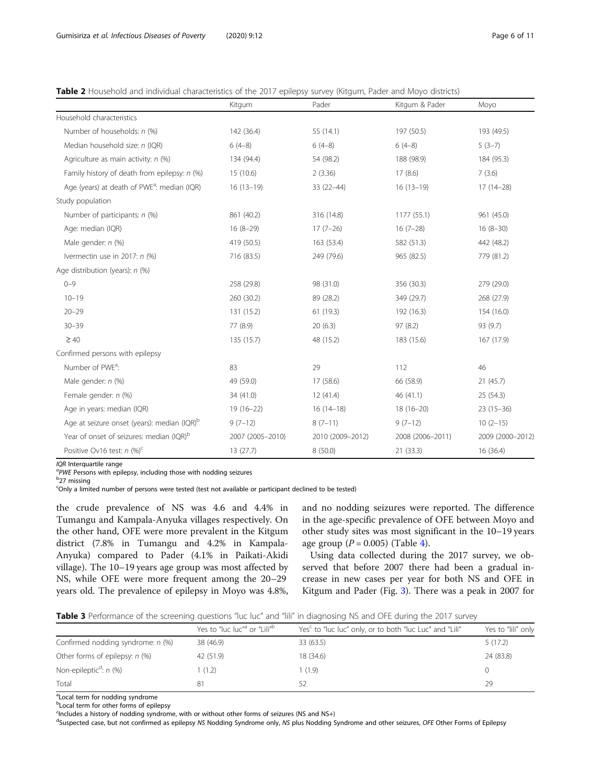<span id="page-5-0"></span>

| Table 2 Household and individual characteristics of the 2017 epilepsy survey (Kitgum, Pader and Moyo districts) |  |  |  |
|-----------------------------------------------------------------------------------------------------------------|--|--|--|
|-----------------------------------------------------------------------------------------------------------------|--|--|--|

|                                                         | Kitgum           | Pader            | Kitgum & Pader   | Moyo             |
|---------------------------------------------------------|------------------|------------------|------------------|------------------|
| Household characteristics                               |                  |                  |                  |                  |
| Number of households: n (%)                             | 142 (36.4)       | 55 (14.1)        | 197 (50.5)       | 193 (49.5)       |
| Median household size: n (IQR)                          | $6(4-8)$         | $6(4-8)$         | $6(4-8)$         | $5(3-7)$         |
| Agriculture as main activity: n (%)                     | 134 (94.4)       | 54 (98.2)        | 188 (98.9)       | 184 (95.3)       |
| Family history of death from epilepsy: n (%)            | 15(10.6)         | 2(3.36)          | 17(8.6)          | 7(3.6)           |
| Age (years) at death of PWE <sup>a</sup> : median (IQR) | $16(13-19)$      | $33(22-44)$      | $16(13-19)$      | $17(14-28)$      |
| Study population                                        |                  |                  |                  |                  |
| Number of participants: n (%)                           | 861 (40.2)       | 316 (14.8)       | 1177 (55.1)      | 961 (45.0)       |
| Age: median (IQR)                                       | $16(8-29)$       | $17(7-26)$       | $16(7-28)$       | $16(8-30)$       |
| Male gender: n (%)                                      | 419 (50.5)       | 163 (53.4)       | 582 (51.3)       | 442 (48.2)       |
| Ivermectin use in 2017: n (%)                           | 716 (83.5)       | 249 (79.6)       | 965 (82.5)       | 779 (81.2)       |
| Age distribution (years): n (%)                         |                  |                  |                  |                  |
| $0 - 9$                                                 | 258 (29.8)       | 98 (31.0)        | 356 (30.3)       | 279 (29.0)       |
| $10 - 19$                                               | 260 (30.2)       | 89 (28.2)        | 349 (29.7)       | 268 (27.9)       |
| $20 - 29$                                               | 131 (15.2)       | 61(19.3)         | 192 (16.3)       | 154 (16.0)       |
| $30 - 39$                                               | 77 (8.9)         | 20(6.3)          | 97(8.2)          | 93 (9.7)         |
| $\geq 40$                                               | 135 (15.7)       | 48 (15.2)        | 183 (15.6)       | 167 (17.9)       |
| Confirmed persons with epilepsy                         |                  |                  |                  |                  |
| Number of PWE <sup>a</sup> :                            | 83               | 29               | 112              | 46               |
| Male gender: n (%)                                      | 49 (59.0)        | 17 (58.6)        | 66 (58.9)        | 21(45.7)         |
| Female gender: n (%)                                    | 34 (41.0)        | 12(41.4)         | 46(41.1)         | 25(54.3)         |
| Age in years: median (IQR)                              | $19(16-22)$      | $16(14-18)$      | $18(16 - 20)$    | $23(15-36)$      |
| Age at seizure onset (years): median (IQR) <sup>b</sup> | $9(7-12)$        | $8(7-11)$        | $9(7-12)$        | $10(2-15)$       |
| Year of onset of seizures: median (IQR) <sup>b</sup>    | 2007 (2005-2010) | 2010 (2009-2012) | 2008 (2006-2011) | 2009 (2000-2012) |
| Positive Ov16 test: $n$ (%) <sup>c</sup>                | 13(27.7)         | 8(50.0)          | 21 (33.3)        | 16 (36.4)        |

IQR Interquartile range

 $PW$ E Persons with epilepsy, including those with nodding seizures b<sub>27</sub> missing

c Only a limited number of persons were tested (test not available or participant declined to be tested)

the crude prevalence of NS was 4.6 and 4.4% in Tumangu and Kampala-Anyuka villages respectively. On the other hand, OFE were more prevalent in the Kitgum district (7.8% in Tumangu and 4.2% in Kampala-Anyuka) compared to Pader (4.1% in Paikati-Akidi village). The 10–19 years age group was most affected by NS, while OFE were more frequent among the 20–29 years old. The prevalence of epilepsy in Moyo was 4.8%,

and no nodding seizures were reported. The difference in the age-specific prevalence of OFE between Moyo and other study sites was most significant in the 10–19 years age group  $(P = 0.005)$  (Table [4](#page-6-0)).

Using data collected during the 2017 survey, we observed that before 2007 there had been a gradual increase in new cases per year for both NS and OFE in Kitgum and Pader (Fig. [3\)](#page-7-0). There was a peak in 2007 for

Table 3 Performance of the screening questions "luc luc" and "lili" in diagnosing NS and OFE during the 2017 survey

|                                      | Yes to "luc luc" <sup>a</sup> or "Lili" <sup>b</sup> | Yes <sup>c</sup> to "luc luc" only, or to both "luc Luc" and "Lili" | Yes to "lili" only |
|--------------------------------------|------------------------------------------------------|---------------------------------------------------------------------|--------------------|
| Confirmed nodding syndrome: n (%)    | 38 (46.9)                                            | 33 (63.5)                                                           | 5(17.2)            |
| Other forms of epilepsy: $n$ (%)     | 42 (51.9)                                            | 18 (34.6)                                                           | 24 (83.8)          |
| Non-epileptic <sup>d</sup> : $n$ (%) | 1(1.2)                                               | 1(1.9)                                                              |                    |
| Total                                | 81                                                   |                                                                     | 29                 |

<sup>a</sup>Local term for nodding syndrome

**b**Local term for other forms of epilepsy

<sup>c</sup>Includes a history of nodding syndrome, with or without other forms of seizures (NS and NS+)

<sup>d</sup>Suspected case, but not confirmed as epilepsy NS Nodding Syndrome only, NS plus Nodding Syndrome and other seizures, OFE Other Forms of Epilepsy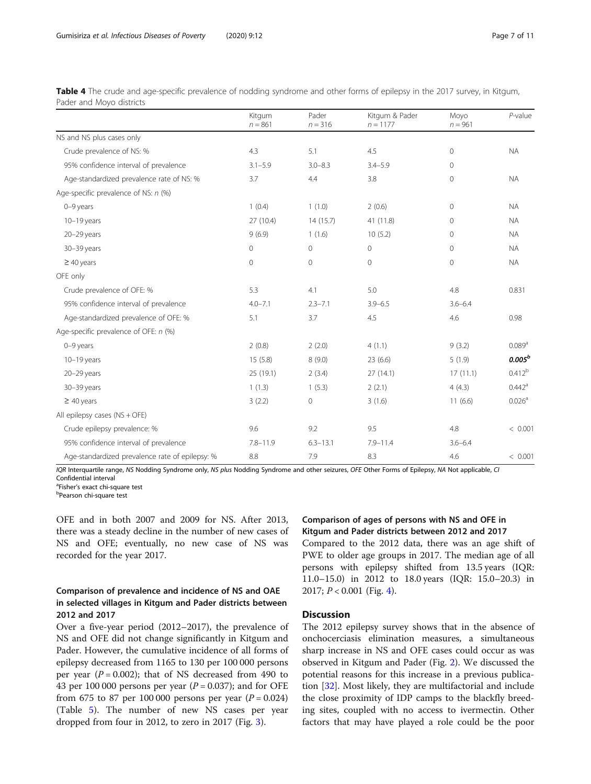|                                                 | Kitgum<br>$n = 861$ | Pader<br>$n = 316$ | Kitgum & Pader<br>$n = 1177$ | Moyo<br>$n = 961$ | $P$ -value           |
|-------------------------------------------------|---------------------|--------------------|------------------------------|-------------------|----------------------|
| NS and NS plus cases only                       |                     |                    |                              |                   |                      |
| Crude prevalence of NS: %                       | 4.3                 | 5.1                | 4.5                          | $\mathbf{O}$      | <b>NA</b>            |
| 95% confidence interval of prevalence           | $3.1 - 5.9$         | $3.0 - 8.3$        | $3.4 - 5.9$                  | $\mathbf{0}$      |                      |
| Age-standardized prevalence rate of NS: %       | 3.7                 | 4.4                | 3.8                          | $\mathbf{0}$      | <b>NA</b>            |
| Age-specific prevalence of NS: n (%)            |                     |                    |                              |                   |                      |
| $0-9$ years                                     | 1(0.4)              | 1(1.0)             | 2(0.6)                       | $\mathbf{0}$      | <b>NA</b>            |
| $10-19$ years                                   | 27 (10.4)           | 14(15.7)           | 41 (11.8)                    | $\circ$           | <b>NA</b>            |
| 20-29 years                                     | 9(6.9)              | 1(1.6)             | 10(5.2)                      | $\mathbf{0}$      | <b>NA</b>            |
| 30-39 years                                     | $\mathbf 0$         | 0                  | 0                            | $\mathbf{0}$      | <b>NA</b>            |
| $\geq$ 40 years                                 | $\mathbf 0$         | $\circ$            | $\Omega$                     | $\mathbf{0}$      | <b>NA</b>            |
| OFE only                                        |                     |                    |                              |                   |                      |
| Crude prevalence of OFE: %                      | 5.3                 | 4.1                | 5.0                          | 4.8               | 0.831                |
| 95% confidence interval of prevalence           | $4.0 - 7.1$         | $2.3 - 7.1$        | $3.9 - 6.5$                  | $3.6 - 6.4$       |                      |
| Age-standardized prevalence of OFE: %           | 5.1                 | 3.7                | 4.5                          | 4.6               | 0.98                 |
| Age-specific prevalence of OFE: n (%)           |                     |                    |                              |                   |                      |
| $0-9$ years                                     | 2(0.8)              | 2(2.0)             | 4(1.1)                       | 9(3.2)            | $0.089$ <sup>a</sup> |
| $10-19$ years                                   | 15(5.8)             | 8(9.0)             | 23(6.6)                      | 5(1.9)            | $0.005^b$            |
| 20-29 years                                     | 25 (19.1)           | 2(3.4)             | 27(14.1)                     | 17(11.1)          | $0.412^{b}$          |
| 30-39 years                                     | 1(1.3)              | 1(5.3)             | 2(2.1)                       | 4(4.3)            | $0.442$ <sup>a</sup> |
| $\geq 40$ years                                 | 3(2.2)              | 0                  | 3(1.6)                       | 11(6.6)           | 0.026 <sup>a</sup>   |
| All epilepsy cases (NS + OFE)                   |                     |                    |                              |                   |                      |
| Crude epilepsy prevalence: %                    | 9.6                 | 9.2                | 9.5                          | 4.8               | < 0.001              |
| 95% confidence interval of prevalence           | $7.8 - 11.9$        | $6.3 - 13.1$       | $7.9 - 11.4$                 | $3.6 - 6.4$       |                      |
| Age-standardized prevalence rate of epilepsy: % | 8.8                 | 7.9                | 8.3                          | 4.6               | < 0.001              |

<span id="page-6-0"></span>Table 4 The crude and age-specific prevalence of nodding syndrome and other forms of epilepsy in the 2017 survey, in Kitgum, Pader and Moyo districts

IQR Interquartile range, NS Nodding Syndrome only, NS plus Nodding Syndrome and other seizures, OFE Other Forms of Epilepsy, NA Not applicable, CI Confidential interval

<sup>a</sup>Fisher's exact chi-square test<br><sup>b</sup>Bearson chi square test Pearson chi-square test

OFE and in both 2007 and 2009 for NS. After 2013, there was a steady decline in the number of new cases of NS and OFE; eventually, no new case of NS was recorded for the year 2017.

## Comparison of prevalence and incidence of NS and OAE in selected villages in Kitgum and Pader districts between 2012 and 2017

Over a five-year period (2012–2017), the prevalence of NS and OFE did not change significantly in Kitgum and Pader. However, the cumulative incidence of all forms of epilepsy decreased from 1165 to 130 per 100 000 persons per year ( $P = 0.002$ ); that of NS decreased from 490 to 43 per 100 000 persons per year ( $P = 0.037$ ); and for OFE from 675 to 87 per 100 000 persons per year  $(P = 0.024)$ (Table [5\)](#page-7-0). The number of new NS cases per year dropped from four in 2012, to zero in 2017 (Fig. [3\)](#page-7-0).

## Comparison of ages of persons with NS and OFE in Kitgum and Pader districts between 2012 and 2017

Compared to the 2012 data, there was an age shift of PWE to older age groups in 2017. The median age of all persons with epilepsy shifted from 13.5 years (IQR: 11.0–15.0) in 2012 to 18.0 years (IQR: 15.0–20.3) in 2017;  $P < 0.001$  (Fig. [4](#page-8-0)).

## **Discussion**

The 2012 epilepsy survey shows that in the absence of onchocerciasis elimination measures, a simultaneous sharp increase in NS and OFE cases could occur as was observed in Kitgum and Pader (Fig. [2](#page-4-0)). We discussed the potential reasons for this increase in a previous publication [\[32](#page-10-0)]. Most likely, they are multifactorial and include the close proximity of IDP camps to the blackfly breeding sites, coupled with no access to ivermectin. Other factors that may have played a role could be the poor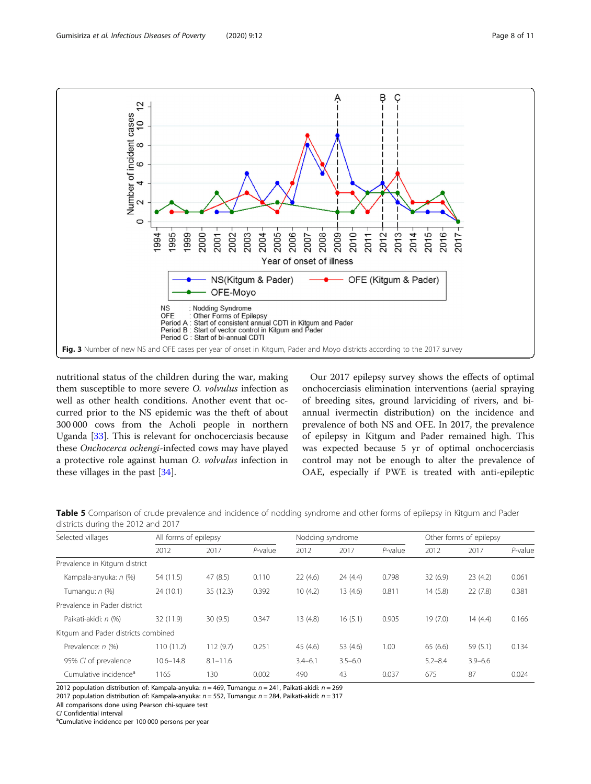<span id="page-7-0"></span>

nutritional status of the children during the war, making them susceptible to more severe O. volvulus infection as well as other health conditions. Another event that occurred prior to the NS epidemic was the theft of about 300 000 cows from the Acholi people in northern Uganda [[33](#page-10-0)]. This is relevant for onchocerciasis because these Onchocerca ochengi-infected cows may have played a protective role against human O. volvulus infection in these villages in the past [\[34](#page-10-0)].

Our 2017 epilepsy survey shows the effects of optimal onchocerciasis elimination interventions (aerial spraying of breeding sites, ground larviciding of rivers, and biannual ivermectin distribution) on the incidence and prevalence of both NS and OFE. In 2017, the prevalence of epilepsy in Kitgum and Pader remained high. This was expected because 5 yr of optimal onchocerciasis control may not be enough to alter the prevalence of OAE, especially if PWE is treated with anti-epileptic

| Selected villages                   | All forms of epilepsy |              | Nodding syndrome |             |             | Other forms of epilepsy |             |             |            |
|-------------------------------------|-----------------------|--------------|------------------|-------------|-------------|-------------------------|-------------|-------------|------------|
|                                     | 2012                  | 2017         | $P$ -value       | 2012        | 2017        | $P$ -value              | 2012        | 2017        | $P$ -value |
| Prevalence in Kitgum district       |                       |              |                  |             |             |                         |             |             |            |
| Kampala-anyuka: n (%)               | 54 (11.5)             | 47(8.5)      | 0.110            | 22(4.6)     | 24 (4.4)    | 0.798                   | 32(6.9)     | 23(4.2)     | 0.061      |
| Tumangu: n (%)                      | 24(10.1)              | 35(12.3)     | 0.392            | 10(4.2)     | 13(4.6)     | 0.811                   | 14(5.8)     | 22(7.8)     | 0.381      |
| Prevalence in Pader district        |                       |              |                  |             |             |                         |             |             |            |
| Paikati-akidi: n (%)                | 32 (11.9)             | 30(9.5)      | 0.347            | 13(4.8)     | 16(5.1)     | 0.905                   | 19(7.0)     | 14(4.4)     | 0.166      |
| Kitgum and Pader districts combined |                       |              |                  |             |             |                         |             |             |            |
| Prevalence: n (%)                   | 110 (11.2)            | 112(9.7)     | 0.251            | 45 (4.6)    | 53 (4.6)    | 1.00                    | 65(6.6)     | 59 (5.1)    | 0.134      |
| 95% CI of prevalence                | $10.6 - 14.8$         | $8.1 - 11.6$ |                  | $3.4 - 6.1$ | $3.5 - 6.0$ |                         | $5.2 - 8.4$ | $3.9 - 6.6$ |            |
| Cumulative incidence <sup>a</sup>   | 1165                  | 130          | 0.002            | 490         | 43          | 0.037                   | 675         | 87          | 0.024      |

Table 5 Comparison of crude prevalence and incidence of nodding syndrome and other forms of epilepsy in Kitgum and Pader districts during the 2012 and 2017

2012 population distribution of: Kampala-anyuka:  $n = 469$ , Tumangu:  $n = 241$ , Paikati-akidi:  $n = 269$ 

2017 population distribution of: Kampala-anyuka:  $n = 552$ , Tumangu:  $n = 284$ , Paikati-akidi:  $n = 317$ 

All comparisons done using Pearson chi-square test

CI Confidential interval

<sup>a</sup>Cumulative incidence per 100 000 persons per year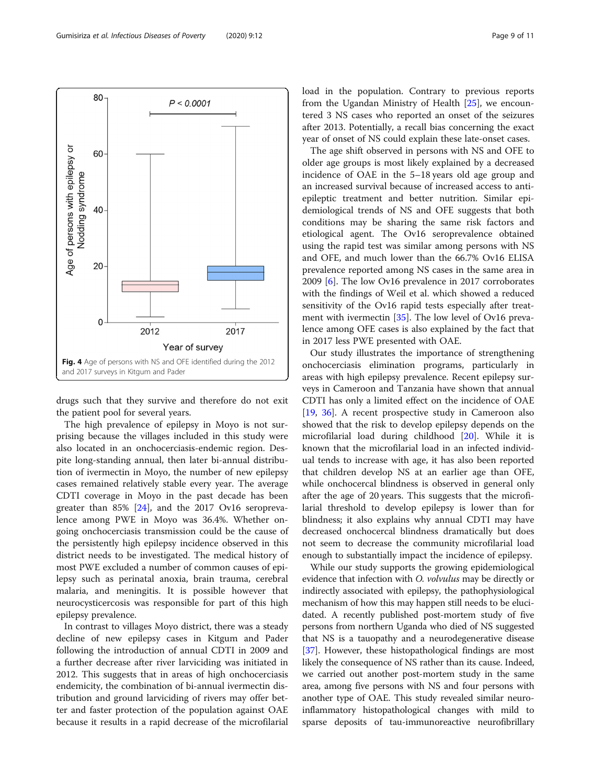drugs such that they survive and therefore do not exit the patient pool for several years.

The high prevalence of epilepsy in Moyo is not surprising because the villages included in this study were also located in an onchocerciasis-endemic region. Despite long-standing annual, then later bi-annual distribution of ivermectin in Moyo, the number of new epilepsy cases remained relatively stable every year. The average CDTI coverage in Moyo in the past decade has been greater than 85% [\[24](#page-10-0)], and the 2017 Ov16 seroprevalence among PWE in Moyo was 36.4%. Whether ongoing onchocerciasis transmission could be the cause of the persistently high epilepsy incidence observed in this district needs to be investigated. The medical history of most PWE excluded a number of common causes of epilepsy such as perinatal anoxia, brain trauma, cerebral malaria, and meningitis. It is possible however that neurocysticercosis was responsible for part of this high epilepsy prevalence.

In contrast to villages Moyo district, there was a steady decline of new epilepsy cases in Kitgum and Pader following the introduction of annual CDTI in 2009 and a further decrease after river larviciding was initiated in 2012. This suggests that in areas of high onchocerciasis endemicity, the combination of bi-annual ivermectin distribution and ground larviciding of rivers may offer better and faster protection of the population against OAE because it results in a rapid decrease of the microfilarial load in the population. Contrary to previous reports from the Ugandan Ministry of Health [[25\]](#page-10-0), we encountered 3 NS cases who reported an onset of the seizures after 2013. Potentially, a recall bias concerning the exact year of onset of NS could explain these late-onset cases.

The age shift observed in persons with NS and OFE to older age groups is most likely explained by a decreased incidence of OAE in the 5–18 years old age group and an increased survival because of increased access to antiepileptic treatment and better nutrition. Similar epidemiological trends of NS and OFE suggests that both conditions may be sharing the same risk factors and etiological agent. The Ov16 seroprevalence obtained using the rapid test was similar among persons with NS and OFE, and much lower than the 66.7% Ov16 ELISA prevalence reported among NS cases in the same area in 2009 [[6\]](#page-10-0). The low Ov16 prevalence in 2017 corroborates with the findings of Weil et al. which showed a reduced sensitivity of the Ov16 rapid tests especially after treatment with ivermectin [[35](#page-10-0)]. The low level of Ov16 prevalence among OFE cases is also explained by the fact that in 2017 less PWE presented with OAE.

Our study illustrates the importance of strengthening onchocerciasis elimination programs, particularly in areas with high epilepsy prevalence. Recent epilepsy surveys in Cameroon and Tanzania have shown that annual CDTI has only a limited effect on the incidence of OAE [[19,](#page-10-0) [36](#page-10-0)]. A recent prospective study in Cameroon also showed that the risk to develop epilepsy depends on the microfilarial load during childhood [[20](#page-10-0)]. While it is known that the microfilarial load in an infected individual tends to increase with age, it has also been reported that children develop NS at an earlier age than OFE, while onchocercal blindness is observed in general only after the age of 20 years. This suggests that the microfilarial threshold to develop epilepsy is lower than for blindness; it also explains why annual CDTI may have decreased onchocercal blindness dramatically but does not seem to decrease the community microfilarial load enough to substantially impact the incidence of epilepsy.

While our study supports the growing epidemiological evidence that infection with *O. volvulus* may be directly or indirectly associated with epilepsy, the pathophysiological mechanism of how this may happen still needs to be elucidated. A recently published post-mortem study of five persons from northern Uganda who died of NS suggested that NS is a tauopathy and a neurodegenerative disease [[37](#page-10-0)]. However, these histopathological findings are most likely the consequence of NS rather than its cause. Indeed, we carried out another post-mortem study in the same area, among five persons with NS and four persons with another type of OAE. This study revealed similar neuroinflammatory histopathological changes with mild to sparse deposits of tau-immunoreactive neurofibrillary

<span id="page-8-0"></span>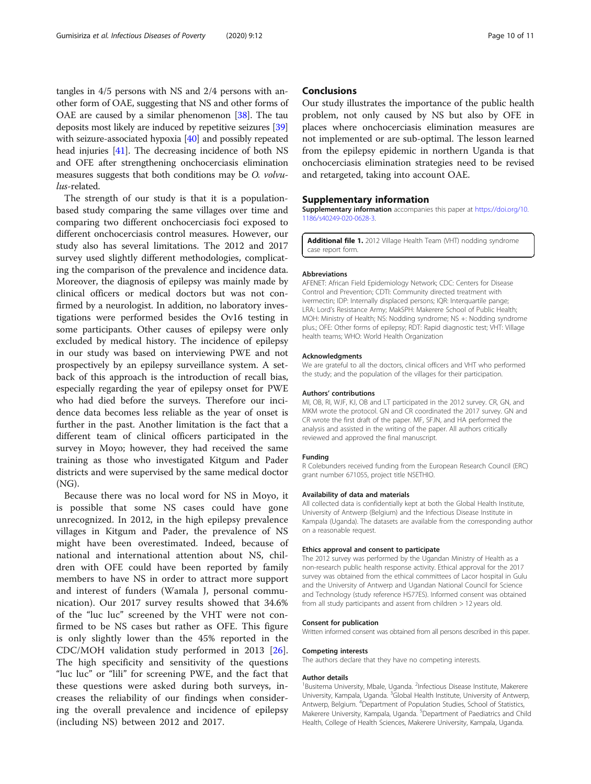<span id="page-9-0"></span>tangles in 4/5 persons with NS and 2/4 persons with another form of OAE, suggesting that NS and other forms of OAE are caused by a similar phenomenon  $[38]$  $[38]$ . The tau deposits most likely are induced by repetitive seizures [[39](#page-10-0)] with seizure-associated hypoxia [[40](#page-10-0)] and possibly repeated head injuries [\[41](#page-10-0)]. The decreasing incidence of both NS and OFE after strengthening onchocerciasis elimination measures suggests that both conditions may be O. volvulus-related.

The strength of our study is that it is a populationbased study comparing the same villages over time and comparing two different onchocerciasis foci exposed to different onchocerciasis control measures. However, our study also has several limitations. The 2012 and 2017 survey used slightly different methodologies, complicating the comparison of the prevalence and incidence data. Moreover, the diagnosis of epilepsy was mainly made by clinical officers or medical doctors but was not confirmed by a neurologist. In addition, no laboratory investigations were performed besides the Ov16 testing in some participants. Other causes of epilepsy were only excluded by medical history. The incidence of epilepsy in our study was based on interviewing PWE and not prospectively by an epilepsy surveillance system. A setback of this approach is the introduction of recall bias, especially regarding the year of epilepsy onset for PWE who had died before the surveys. Therefore our incidence data becomes less reliable as the year of onset is further in the past. Another limitation is the fact that a different team of clinical officers participated in the survey in Moyo; however, they had received the same training as those who investigated Kitgum and Pader districts and were supervised by the same medical doctor (NG).

Because there was no local word for NS in Moyo, it is possible that some NS cases could have gone unrecognized. In 2012, in the high epilepsy prevalence villages in Kitgum and Pader, the prevalence of NS might have been overestimated. Indeed, because of national and international attention about NS, children with OFE could have been reported by family members to have NS in order to attract more support and interest of funders (Wamala J, personal communication). Our 2017 survey results showed that 34.6% of the "luc luc" screened by the VHT were not confirmed to be NS cases but rather as OFE. This figure is only slightly lower than the 45% reported in the CDC/MOH validation study performed in 2013 [\[26](#page-10-0)]. The high specificity and sensitivity of the questions "luc luc" or "lili" for screening PWE, and the fact that these questions were asked during both surveys, increases the reliability of our findings when considering the overall prevalence and incidence of epilepsy (including NS) between 2012 and 2017.

## **Conclusions**

Our study illustrates the importance of the public health problem, not only caused by NS but also by OFE in places where onchocerciasis elimination measures are not implemented or are sub-optimal. The lesson learned from the epilepsy epidemic in northern Uganda is that onchocerciasis elimination strategies need to be revised and retargeted, taking into account OAE.

## Supplementary information

Supplementary information accompanies this paper at [https://doi.org/10.](https://doi.org/10.1186/s40249-020-0628-3) [1186/s40249-020-0628-3.](https://doi.org/10.1186/s40249-020-0628-3)

Additional file 1. 2012 Village Health Team (VHT) nodding syndrome case report form.

## Abbreviations

AFENET: African Field Epidemiology Network; CDC: Centers for Disease Control and Prevention; CDTI: Community directed treatment with ivermectin; IDP: Internally displaced persons; IQR: Interquartile pange; LRA: Lord's Resistance Army; MakSPH: Makerere School of Public Health; MOH: Ministry of Health; NS: Nodding syndrome; NS +: Nodding syndrome plus.; OFE: Other forms of epilepsy; RDT: Rapid diagnostic test; VHT: Village health teams; WHO: World Health Organization

#### Acknowledgments

We are grateful to all the doctors, clinical officers and VHT who performed the study; and the population of the villages for their participation.

#### Authors' contributions

MI, OB, RI, WJF, KJ, OB and LT participated in the 2012 survey. CR, GN, and MKM wrote the protocol. GN and CR coordinated the 2017 survey. GN and CR wrote the first draft of the paper. MF, SFJN, and HA performed the analysis and assisted in the writing of the paper. All authors critically reviewed and approved the final manuscript.

#### Funding

R Colebunders received funding from the European Research Council (ERC) grant number 671055, project title NSETHIO.

## Availability of data and materials

All collected data is confidentially kept at both the Global Health Institute, University of Antwerp (Belgium) and the Infectious Disease Institute in Kampala (Uganda). The datasets are available from the corresponding author on a reasonable request.

#### Ethics approval and consent to participate

The 2012 survey was performed by the Ugandan Ministry of Health as a non-research public health response activity. Ethical approval for the 2017 survey was obtained from the ethical committees of Lacor hospital in Gulu and the University of Antwerp and Ugandan National Council for Science and Technology (study reference HS77ES). Informed consent was obtained from all study participants and assent from children > 12 years old.

#### Consent for publication

Written informed consent was obtained from all persons described in this paper.

## Competing interests

The authors declare that they have no competing interests.

#### Author details

<sup>1</sup>Busitema University, Mbale, Uganda. <sup>2</sup>Infectious Disease Institute, Makerere University, Kampala, Uganda. <sup>3</sup>Global Health Institute, University of Antwerp, Antwerp, Belgium. <sup>4</sup>Department of Population Studies, School of Statistics Makerere University, Kampala, Uganda. <sup>5</sup>Department of Paediatrics and Child Health, College of Health Sciences, Makerere University, Kampala, Uganda.